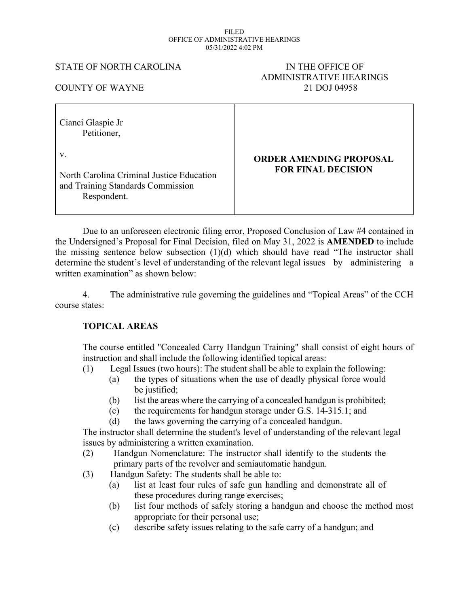#### FILED OFFICE OF ADMINISTRATIVE HEARINGS 05/31/2022 4:02 PM

### STATE OF NORTH CAROLINA IN THE OFFICE OF

# ADMINISTRATIVE HEARINGS COUNTY OF WAYNE 21 DOJ 04958

| Cianci Glaspie Jr<br>Petitioner,                                                                         |                                                             |
|----------------------------------------------------------------------------------------------------------|-------------------------------------------------------------|
| $V_{-}$<br>North Carolina Criminal Justice Education<br>and Training Standards Commission<br>Respondent. | <b>ORDER AMENDING PROPOSAL</b><br><b>FOR FINAL DECISION</b> |

Due to an unforeseen electronic filing error, Proposed Conclusion of Law #4 contained in the Undersigned's Proposal for Final Decision, filed on May 31, 2022 is **AMENDED** to include the missing sentence below subsection (1)(d) which should have read "The instructor shall determine the student's level of understanding of the relevant legal issues by administering a written examination" as shown below:

4. The administrative rule governing the guidelines and "Topical Areas" of the CCH course states:

# **TOPICAL AREAS**

The course entitled "Concealed Carry Handgun Training" shall consist of eight hours of instruction and shall include the following identified topical areas:

- (1) Legal Issues (two hours): The student shall be able to explain the following:
	- (a) the types of situations when the use of deadly physical force would be justified;
	- (b) list the areas where the carrying of a concealed handgun is prohibited;
	- (c) the requirements for handgun storage under G.S. 14-315.1; and
	- (d) the laws governing the carrying of a concealed handgun.

The instructor shall determine the student's level of understanding of the relevant legal issues by administering a written examination.

- (2) Handgun Nomenclature: The instructor shall identify to the students the primary parts of the revolver and semiautomatic handgun.
- (3) Handgun Safety: The students shall be able to:
	- (a) list at least four rules of safe gun handling and demonstrate all of these procedures during range exercises;
	- (b) list four methods of safely storing a handgun and choose the method most appropriate for their personal use;
	- (c) describe safety issues relating to the safe carry of a handgun; and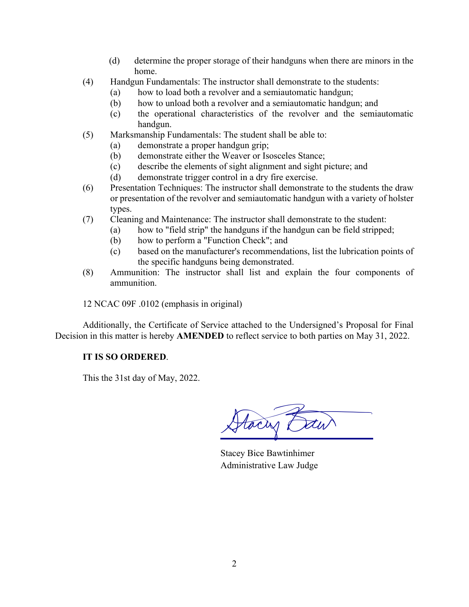- (d) determine the proper storage of their handguns when there are minors in the home.
- (4) Handgun Fundamentals: The instructor shall demonstrate to the students:
	- (a) how to load both a revolver and a semiautomatic handgun;
	- (b) how to unload both a revolver and a semiautomatic handgun; and
	- (c) the operational characteristics of the revolver and the semiautomatic handgun.
- (5) Marksmanship Fundamentals: The student shall be able to:
	- (a) demonstrate a proper handgun grip;
	- (b) demonstrate either the Weaver or Isosceles Stance;
	- (c) describe the elements of sight alignment and sight picture; and
	- (d) demonstrate trigger control in a dry fire exercise.
- (6) Presentation Techniques: The instructor shall demonstrate to the students the draw or presentation of the revolver and semiautomatic handgun with a variety of holster types.
- (7) Cleaning and Maintenance: The instructor shall demonstrate to the student:
	- (a) how to "field strip" the handguns if the handgun can be field stripped;
	- (b) how to perform a "Function Check"; and
	- (c) based on the manufacturer's recommendations, list the lubrication points of the specific handguns being demonstrated.
- (8) Ammunition: The instructor shall list and explain the four components of ammunition.

12 NCAC 09F .0102 (emphasis in original)

Additionally, the Certificate of Service attached to the Undersigned's Proposal for Final Decision in this matter is hereby **AMENDED** to reflect service to both parties on May 31, 2022.

# **IT IS SO ORDERED**.

This the 31st day of May, 2022.

toan t

Stacey Bice Bawtinhimer Administrative Law Judge